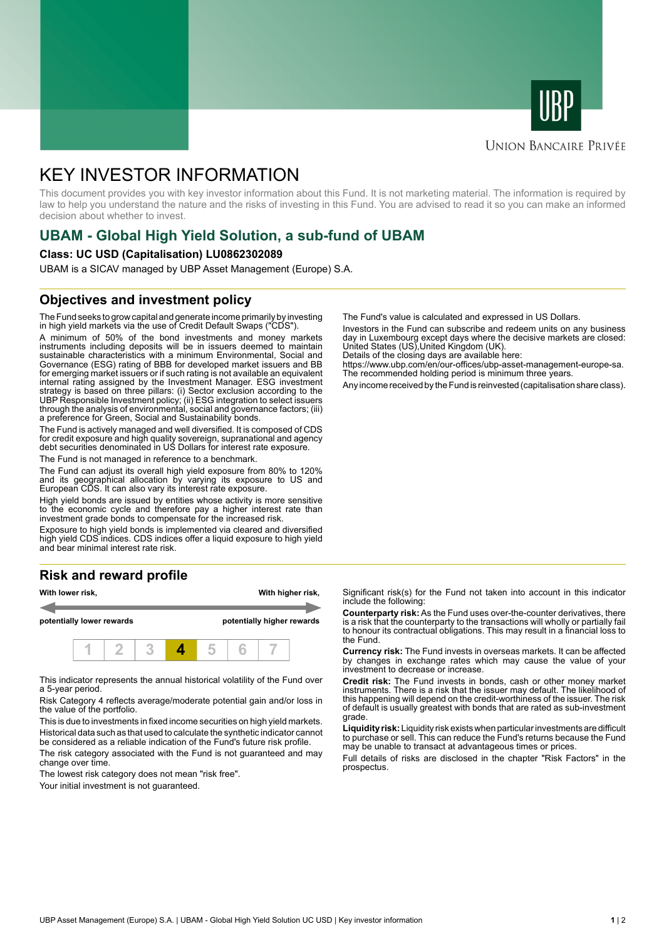



### **UNION BANCAIRE PRIVÉE**

# KEY INVESTOR INFORMATION

This document provides you with key investor information about this Fund. It is not marketing material. The information is required by law to help you understand the nature and the risks of investing in this Fund. You are advised to read it so you can make an informed decision about whether to invest.

# **UBAM - Global High Yield Solution, a sub-fund of UBAM**

#### **Class: UC USD (Capitalisation) LU0862302089**

UBAM is a SICAV managed by UBP Asset Management (Europe) S.A.

### **Objectives and investment policy**

The Fund seeks to grow capital and generate income primarily by investing in high yield markets via the use of Credit Default Swaps ("CDS").

A minimum of 50% of the bond investments and money markets instruments including deposits will be in issuers deemed to maintain sustainable characteristics with a minimum Environmental, Social and Governance (ESG) rating of BBB for developed market issuers and BB for emerging market issuers or if such rating is not available an equivalent internal rating assigned by the Investment Manager. ESG investment strategy is based on three pillars: (i) Sector exclusion according to the UBP Responsible Investment policy; (ii) ESG integration to select issuers through the analysis of environmental, social and governance factors; (iii) a preference for Green, Social and Sustainability bonds.

The Fund is actively managed and well diversified. It is composed of CDS for credit exposure and high quality sovereign, supranational and agency debt securities denominated in US Dollars for interest rate exposure.

The Fund is not managed in reference to a benchmark.

The Fund can adjust its overall high yield exposure from 80% to 120% and its geographical allocation by varying its exposure to US and European CDS. It can also vary its interest rate exposure.

High yield bonds are issued by entities whose activity is more sensitive to the economic cycle and therefore pay a higher interest rate than investment grade bonds to compensate for the increased risk.

Exposure to high yield bonds is implemented via cleared and diversified high yield CDS indices. CDS indices offer a liquid exposure to high yield and bear minimal interest rate risk.

# **Risk and reward profile**



This indicator represents the annual historical volatility of the Fund over a 5-year period.

Risk Category 4 reflects average/moderate potential gain and/or loss in the value of the portfolio.

This is due to investments in fixed income securities on high yield markets. Historical data such as that used to calculate the synthetic indicator cannot be considered as a reliable indication of the Fund's future risk profile. The risk category associated with the Fund is not guaranteed and may

change over time.

The lowest risk category does not mean "risk free".

Your initial investment is not guaranteed.

The Fund's value is calculated and expressed in US Dollars.

Investors in the Fund can subscribe and redeem units on any business day in Luxembourg except days where the decisive markets are closed: United States (US),United Kingdom (UK).

Details of the closing days are available here:

https://www.ubp.com/en/our-offices/ubp-asset-management-europe-sa. The recommended holding period is minimum three years.

Any income received by the Fund is reinvested (capitalisation share class).

Significant risk(s) for the Fund not taken into account in this indicator include the following:

**Counterparty risk:** As the Fund uses over-the-counter derivatives, there is a risk that the counterparty to the transactions will wholly or partially fail to honour its contractual obligations. This may result in a financial loss to the Fund.

**Currency risk:** The Fund invests in overseas markets. It can be affected by changes in exchange rates which may cause the value of your investment to decrease or increase.

**Credit risk:** The Fund invests in bonds, cash or other money market instruments. There is a risk that the issuer may default. The likelihood of this happening will depend on the credit-worthiness of the issuer. The risk of default is usually greatest with bonds that are rated as sub-investment grade.

**Liquidity risk:** Liquidity risk exists when particular investments are difficult to purchase or sell. This can reduce the Fund's returns because the Fund may be unable to transact at advantageous times or prices.

Full details of risks are disclosed in the chapter "Risk Factors" in the prospectus.